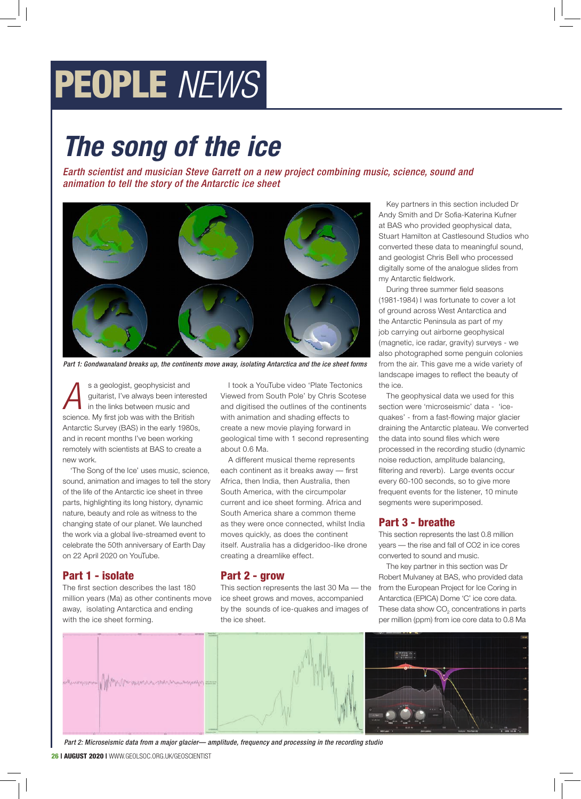# PEOPLE *NEWS*

# *The song of the ice*

Earth scientist and musician Steve Garrett on a new project combining music, science, sound and animation to tell the story of the Antarctic ice sheet



Part 1: Gondwanaland breaks up, the continents move away, isolating Antarctica and the ice sheet forms

**A** sa geologist, geophysicist and<br>guitarist, I've always been intere<br>in the links between music and guitarist, I've always been interested in the links between music and science. My first job was with the British Antarctic Survey (BAS) in the early 1980s, and in recent months I've been working remotely with scientists at BAS to create a new work.

'The Song of the Ice' uses music, science, sound, animation and images to tell the story of the life of the Antarctic ice sheet in three parts, highlighting its long history, dynamic nature, beauty and role as witness to the changing state of our planet. We launched the work via a global live-streamed event to celebrate the 50th anniversary of Earth Day on 22 April 2020 on YouTube.

# Part 1 - isolate

The first section describes the last 180 million years (Ma) as other continents move away, isolating Antarctica and ending with the ice sheet forming.

I took a YouTube video 'Plate Tectonics Viewed from South Pole' by Chris Scotese and digitised the outlines of the continents with animation and shading effects to create a new movie playing forward in geological time with 1 second representing about 0.6 Ma.

A different musical theme represents each continent as it breaks away — first Africa, then India, then Australia, then South America, with the circumpolar current and ice sheet forming. Africa and South America share a common theme as they were once connected, whilst India moves quickly, as does the continent itself. Australia has a didgeridoo-like drone creating a dreamlike effect.

#### Part 2 - grow

This section represents the last 30 Ma — the ice sheet grows and moves, accompanied by the sounds of ice-quakes and images of the ice sheet.

Key partners in this section included Dr Andy Smith and Dr Sofia-Katerina Kufner at BAS who provided geophysical data, Stuart Hamilton at Castlesound Studios who converted these data to meaningful sound, and geologist Chris Bell who processed digitally some of the analogue slides from my Antarctic fieldwork.

During three summer field seasons (1981-1984) I was fortunate to cover a lot of ground across West Antarctica and the Antarctic Peninsula as part of my job carrying out airborne geophysical (magnetic, ice radar, gravity) surveys - we also photographed some penguin colonies from the air. This gave me a wide variety of landscape images to reflect the beauty of the ice.

The geophysical data we used for this section were 'microseismic' data - 'icequakes' - from a fast-flowing major glacier draining the Antarctic plateau. We converted the data into sound files which were processed in the recording studio (dynamic noise reduction, amplitude balancing, filtering and reverb). Large events occur every 60-100 seconds, so to give more frequent events for the listener, 10 minute segments were superimposed.

# Part 3 - breathe

This section represents the last 0.8 million years — the rise and fall of CO2 in ice cores converted to sound and music.

The key partner in this section was Dr Robert Mulvaney at BAS, who provided data from the European Project for Ice Coring in Antarctica (EPICA) Dome 'C' ice core data. These data show  $CO<sub>2</sub>$  concentrations in parts per million (ppm) from ice core data to 0.8 Ma



Part 2: Microseismic data from a major glacier— amplitude, frequency and processing in the recording studio

26 | AUGUST 2020 | WWW.GEOLSOC.ORG.UK/GEOSCIENTIST